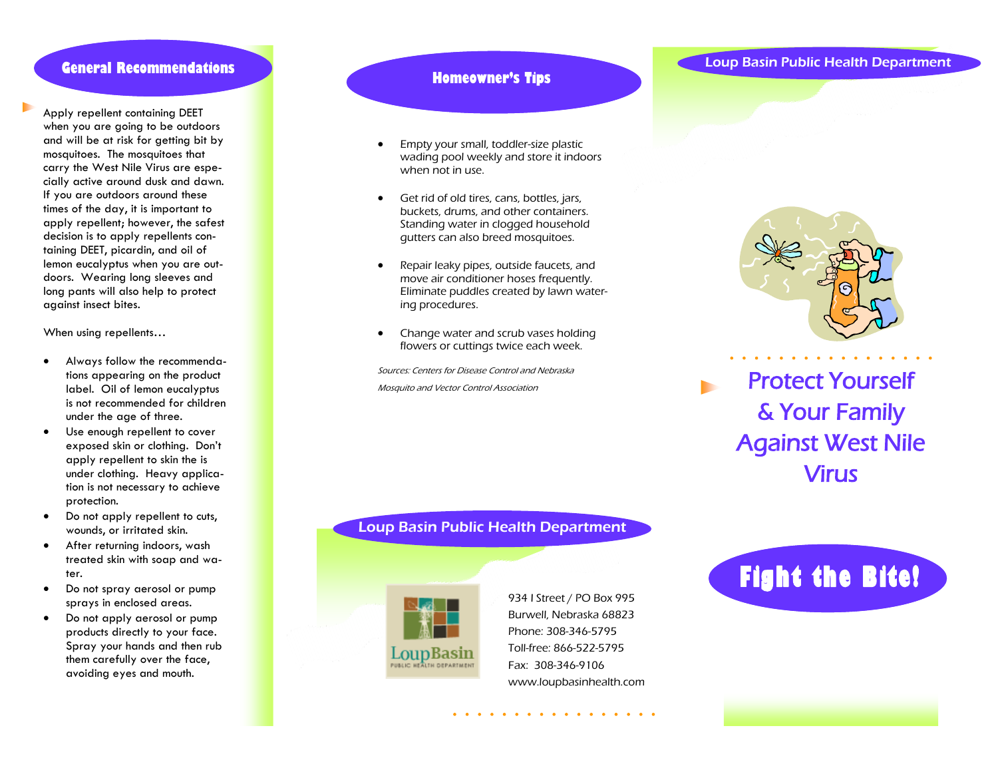Apply repellent containing DEET when you are going to be outdoors and will be at risk for getting bit by mosquitoes. The mosquitoes that carry the West Nile Virus are especially active around dusk and dawn. If you are outdoors around these times of the day, it is important to apply repellent; however, the safest decision is to apply repellents containing DEET, picardin, and oil of lemon eucalyptus when you are outdoors. Wearing long sleeves and long pants will also help to protect against insect bites.

When using repellents…

- Always follow the recommendations appearing on the product label. Oil of lemon eucalyptus is not recommended for children under the age of three.
- Use enough repellent to cover exposed skin or clothing. Don't apply repellent to skin the is under clothing. Heavy application is not necessary to achieve protection.
- Do not apply repellent to cuts, wounds, or irritated skin.
- After returning indoors, wash treated skin with soap and water.
- Do not spray aerosol or pump sprays in enclosed areas.
- Do not apply aerosol or pump products directly to your face. Spray your hands and then rub them carefully over the face, avoiding eyes and mouth.

### **Homeowner's Tips**

- Empty your small, toddler-size plastic wading pool weekly and store it indoors when not in use.
- Get rid of old tires, cans, bottles, jars, buckets, drums, and other containers. Standing water in clogged household gutters can also breed mosquitoes.
- Repair leaky pipes, outside faucets, and move air conditioner hoses frequently. Eliminate puddles created by lawn watering procedures.
- Change water and scrub vases holding flowers or cuttings twice each week.

Sources: Centers for Disease Control and Nebraska Mosquito and Vector Control Association

## Loup Basin Public Health Department



934 I Street / PO Box 995 Burwell, Nebraska 68823 Phone: 308 -346 -5795 Toll -free: 866 -522 -5795 Fax: 308 -346 -9106 www.loupbasinhealth.com

. . . . . . . . . . .

# **General Recommendations**



Protect Yourself & Your Family Against West Nile Virus